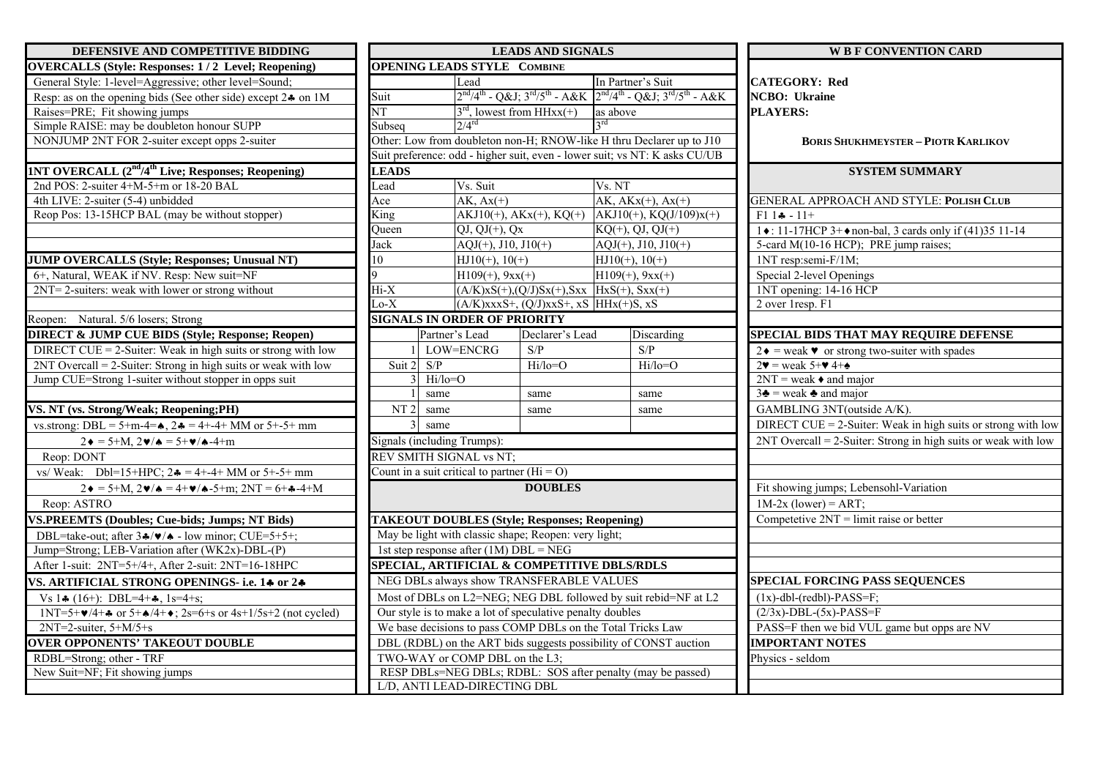| DEFENSIVE AND COMPETITIVE BIDDING                                                                                                    | <b>LEADS AND SIGNALS</b>                                                                                                     |                                                      |                                             |                                                                                         |                                                                  | <b>W B F CONVENTION CARD</b>                                          |  |
|--------------------------------------------------------------------------------------------------------------------------------------|------------------------------------------------------------------------------------------------------------------------------|------------------------------------------------------|---------------------------------------------|-----------------------------------------------------------------------------------------|------------------------------------------------------------------|-----------------------------------------------------------------------|--|
| <b>OVERCALLS (Style: Responses: 1/2 Level; Reopening)</b>                                                                            |                                                                                                                              | <b>OPENING LEADS STYLE COMBINE</b>                   |                                             |                                                                                         |                                                                  |                                                                       |  |
| General Style: 1-level=Aggressive; other level=Sound;                                                                                |                                                                                                                              | Lead                                                 |                                             | In Partner's Suit                                                                       |                                                                  | <b>CATEGORY: Red</b>                                                  |  |
| Resp: as on the opening bids (See other side) except 24 on 1M                                                                        | Suit                                                                                                                         |                                                      |                                             | $2^{nd}/4^{th}$ - Q&J $3^{rd}/5^{th}$ - A&K $2^{nd}/4^{th}$ - Q&J $3^{rd}/5^{th}$ - A&K |                                                                  | <b>NCBO</b> : Ukraine                                                 |  |
| Raises=PRE; Fit showing jumps                                                                                                        | NT                                                                                                                           |                                                      | $3^{\text{rd}}$ , lowest from HHxx(+)       | as above                                                                                |                                                                  | <b>PLAYERS:</b>                                                       |  |
| Simple RAISE: may be doubleton honour SUPP                                                                                           | Subseq                                                                                                                       | $2/4^{\rm rd}$                                       |                                             | $\gamma$ rd                                                                             |                                                                  |                                                                       |  |
| NONJUMP 2NT FOR 2-suiter except opps 2-suiter                                                                                        |                                                                                                                              |                                                      |                                             | Other: Low from doubleton non-H; RNOW-like H thru Declarer up to J10                    |                                                                  | <b>BORIS SHUKHMEYSTER - PIOTR KARLIKOV</b>                            |  |
|                                                                                                                                      |                                                                                                                              |                                                      |                                             | Suit preference: odd - higher suit, even - lower suit; vs NT: K asks CU/UB              |                                                                  |                                                                       |  |
| <b>1NT OVERCALL (2<sup>nd</sup>/4<sup>th</sup> Live; Responses; Reopening)</b>                                                       | <b>LEADS</b>                                                                                                                 |                                                      |                                             |                                                                                         |                                                                  | <b>SYSTEM SUMMARY</b>                                                 |  |
| 2nd POS: 2-suiter 4+M-5+m or 18-20 BAL                                                                                               | Lead                                                                                                                         | Vs. Suit                                             |                                             | Vs. NT                                                                                  |                                                                  |                                                                       |  |
| 4th LIVE: 2-suiter (5-4) unbidded                                                                                                    | Ace                                                                                                                          | $AK, Ax(+)$                                          |                                             | $AK, AKx(+), Ax(+)$                                                                     |                                                                  | GENERAL APPROACH AND STYLE: POLISH CLUB                               |  |
| Reop Pos: 13-15HCP BAL (may be without stopper)                                                                                      |                                                                                                                              | King<br>$AKJ10(+)$ , $AKx(+)$ , $KQ(+)$              |                                             | $AKJ10(+)$ , $KQ(J/109)x(+)$                                                            |                                                                  | $F1$ $14 - 11+$                                                       |  |
|                                                                                                                                      | Oueen                                                                                                                        | $QJ, QJ(+), Qx$                                      |                                             | $KQ(+)$ , QJ, QJ(+)                                                                     |                                                                  | 1 ♦: 11-17HCP 3+ ♦ non-bal, 3 cards only if (41)35 11-14              |  |
|                                                                                                                                      | Jack                                                                                                                         | $AQJ(+), J10, J10(+)$                                |                                             | $AQJ(+)$ , J10, J10(+)                                                                  |                                                                  | 5-card M(10-16 HCP); PRE jump raises;                                 |  |
| <b>JUMP OVERCALLS (Style; Responses; Unusual NT)</b>                                                                                 | 10                                                                                                                           | $HJ10(+)$ , 10(+)                                    |                                             | $HJ10(+), 10(+)$                                                                        |                                                                  | 1NT resp:semi-F/1M;                                                   |  |
| 6+, Natural, WEAK if NV. Resp: New suit=NF                                                                                           | $\overline{Q}$                                                                                                               | $H109(+)$ , $9xx(+)$                                 |                                             | $H109(+)$ , $9xx(+)$                                                                    |                                                                  | Special 2-level Openings                                              |  |
| 2NT= 2-suiters: weak with lower or strong without                                                                                    | $Hi-X$                                                                                                                       |                                                      |                                             | $(A/K)$ xS(+),(Q/J)Sx(+),Sxx HxS(+), Sxx(+)                                             |                                                                  | 1NT opening: 14-16 HCP                                                |  |
|                                                                                                                                      | $Lo-X$                                                                                                                       |                                                      | $(A/K)$ xxxS+, $(Q/J)$ xxS+, xS HHx(+)S, xS |                                                                                         |                                                                  | 2 over 1resp. F1                                                      |  |
| Reopen: Natural. 5/6 losers; Strong                                                                                                  |                                                                                                                              | <b>SIGNALS IN ORDER OF PRIORITY</b>                  |                                             |                                                                                         |                                                                  |                                                                       |  |
| <b>DIRECT &amp; JUMP CUE BIDS (Style; Response; Reopen)</b>                                                                          |                                                                                                                              | Partner's Lead                                       | Declarer's Lead                             | Discarding                                                                              |                                                                  | SPECIAL BIDS THAT MAY REQUIRE DEFENSE                                 |  |
| DIRECT CUE = $2$ -Suiter: Weak in high suits or strong with low                                                                      |                                                                                                                              | LOW=ENCRG                                            | S/P                                         | S/P                                                                                     |                                                                  | $2\bullet$ = weak $\bullet$ or strong two-suiter with spades          |  |
| $2NT$ Overcall = 2-Suiter: Strong in high suits or weak with low                                                                     | S/P<br>Suit 2                                                                                                                |                                                      | $Hi/lo = O$                                 | $Hi/lo = O$                                                                             |                                                                  | $2\blacktriangledown$ = weak 5+ $\blacktriangledown$ 4+ $\triangle$   |  |
| Jump CUE=Strong 1-suiter without stopper in opps suit                                                                                |                                                                                                                              | $Hi/lo = O$                                          |                                             |                                                                                         |                                                                  | $2NT = weak \cdot and major$                                          |  |
|                                                                                                                                      |                                                                                                                              | same                                                 | same                                        | same                                                                                    |                                                                  | $3\clubsuit$ = weak $\clubsuit$ and major                             |  |
| VS. NT (vs. Strong/Weak; Reopening;PH)                                                                                               | NT <sub>2</sub>                                                                                                              | same                                                 | same                                        | same                                                                                    |                                                                  | GAMBLING 3NT(outside A/K).                                            |  |
| vs.strong: DBL = 5+m-4= $\bullet$ , 2 $\bullet$ = 4+-4+ MM or 5+-5+ mm                                                               |                                                                                                                              | same                                                 |                                             |                                                                                         |                                                                  | DIRECT CUE = $2$ -Suiter: Weak in high suits or strong with low       |  |
| $2 \cdot = 5 + M$ , $2 \cdot / \cdot = 5 + \cdot / \cdot 4 + m$                                                                      |                                                                                                                              | Signals (including Trumps):                          |                                             |                                                                                         | $2NT$ Overcall = 2-Suiter: Strong in high suits or weak with low |                                                                       |  |
| Reop: DONT                                                                                                                           | REV SMITH SIGNAL vs NT;                                                                                                      |                                                      |                                             |                                                                                         |                                                                  |                                                                       |  |
| vs/ Weak: Dbl=15+HPC; $2\clubsuit = 4 + -4 + MM$ or 5+-5+ mm                                                                         |                                                                                                                              | Count in a suit critical to partner ( $Hi = O$ )     |                                             |                                                                                         |                                                                  |                                                                       |  |
| $2\bullet = 5 + M$ , $2\bullet / \bullet = 4 + \bullet / \bullet - 5 + m$ ; $2NT = 6 + \bullet - 4 + M$                              | <b>DOUBLES</b>                                                                                                               |                                                      |                                             |                                                                                         |                                                                  | Fit showing jumps; Lebensohl-Variation                                |  |
| Reop: ASTRO                                                                                                                          |                                                                                                                              |                                                      |                                             |                                                                                         |                                                                  | $1M-2x$ (lower) = ART;                                                |  |
| <b>VS.PREEMTS (Doubles; Cue-bids; Jumps; NT Bids)</b>                                                                                |                                                                                                                              | <b>TAKEOUT DOUBLES (Style; Responses; Reopening)</b> |                                             |                                                                                         |                                                                  | Competetive $2NT = limit$ raise or better                             |  |
| DBL=take-out; after $3\cdot\sqrt{v}/\cdot$ - low minor; CUE=5+5+;                                                                    |                                                                                                                              | May be light with classic shape; Reopen: very light; |                                             |                                                                                         |                                                                  |                                                                       |  |
| Jump=Strong; LEB-Variation after (WK2x)-DBL-(P)                                                                                      |                                                                                                                              |                                                      |                                             |                                                                                         |                                                                  |                                                                       |  |
| After 1-suit: 2NT=5+/4+, After 2-suit: 2NT=16-18HPC                                                                                  | 1st step response after $(1M)$ DBL = NEG<br>SPECIAL, ARTIFICIAL & COMPETITIVE DBLS/RDLS                                      |                                                      |                                             |                                                                                         |                                                                  |                                                                       |  |
| VS. ARTIFICIAL STRONG OPENINGS- i.e. 14 or 24                                                                                        |                                                                                                                              |                                                      |                                             |                                                                                         | <b>SPECIAL FORCING PASS SEQUENCES</b>                            |                                                                       |  |
|                                                                                                                                      | NEG DBLs always show TRANSFERABLE VALUES                                                                                     |                                                      |                                             |                                                                                         |                                                                  | $(1x)$ -dbl-(redbl)-PASS=F;                                           |  |
| Vs $1\clubsuit$ (16+): DBL=4+ $\clubsuit$ , 1s=4+s;                                                                                  | Most of DBLs on L2=NEG; NEG DBL followed by suit rebid=NF at L2<br>Our style is to make a lot of speculative penalty doubles |                                                      |                                             |                                                                                         |                                                                  | $(2/3x)$ -DBL- $(5x)$ -PASS=F                                         |  |
| $1NT=5+\frac{9}{4}+\frac{2}{9}$ or $5+\frac{14}{9}+\frac{2}{9}$ ; $2s=6+s$ or $4s+1/5s+2$ (not cycled)<br>$2NT=2$ -suiter, $5+M/5+s$ | We base decisions to pass COMP DBLs on the Total Tricks Law                                                                  |                                                      |                                             |                                                                                         |                                                                  |                                                                       |  |
| <b>OVER OPPONENTS' TAKEOUT DOUBLE</b>                                                                                                |                                                                                                                              |                                                      |                                             |                                                                                         |                                                                  | PASS=F then we bid VUL game but opps are NV<br><b>IMPORTANT NOTES</b> |  |
|                                                                                                                                      | DBL (RDBL) on the ART bids suggests possibility of CONST auction                                                             |                                                      |                                             |                                                                                         |                                                                  |                                                                       |  |
| RDBL=Strong; other - TRF                                                                                                             | TWO-WAY or COMP DBL on the L3;<br>RESP DBLs=NEG DBLs; RDBL: SOS after penalty (may be passed)                                |                                                      |                                             |                                                                                         |                                                                  | Physics - seldom                                                      |  |
| New Suit=NF; Fit showing jumps                                                                                                       | L/D, ANTI LEAD-DIRECTING DBL                                                                                                 |                                                      |                                             |                                                                                         |                                                                  |                                                                       |  |
|                                                                                                                                      |                                                                                                                              |                                                      |                                             |                                                                                         |                                                                  |                                                                       |  |